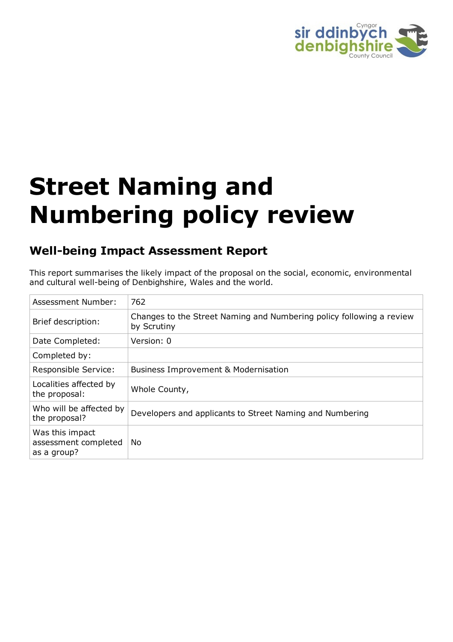

# **Street Naming and Numbering policy review**

## **Well-being Impact Assessment Report**

This report summarises the likely impact of the proposal on the social, economic, environmental and cultural well-being of Denbighshire, Wales and the world.

| Assessment Number:                                     | 762                                                                                 |
|--------------------------------------------------------|-------------------------------------------------------------------------------------|
| Brief description:                                     | Changes to the Street Naming and Numbering policy following a review<br>by Scrutiny |
| Date Completed:                                        | Version: 0                                                                          |
| Completed by:                                          |                                                                                     |
| Responsible Service:                                   | <b>Business Improvement &amp; Modernisation</b>                                     |
| Localities affected by<br>the proposal:                | Whole County,                                                                       |
| Who will be affected by<br>the proposal?               | Developers and applicants to Street Naming and Numbering                            |
| Was this impact<br>assessment completed<br>as a group? | No.                                                                                 |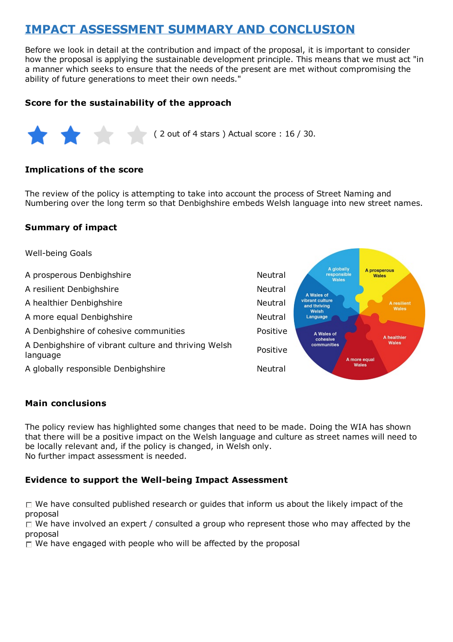# **IMPACT ASSESSMENT SUMMARY AND CONCLUSION**

Before we look in detail at the contribution and impact of the proposal, it is important to consider how the proposal is applying the sustainable development principle. This means that we must act "in a manner which seeks to ensure that the needs of the present are met without compromising the ability of future generations to meet their own needs."

#### **Score for the sustainability of the approach**



#### **Implications of the score**

The review of the policy is attempting to take into account the process of Street Naming and Numbering over the long term so that Denbighshire embeds Welsh language into new street names.

#### **Summary of impact**



#### **Main conclusions**

The policy review has highlighted some changes that need to be made. Doing the WIA has shown that there will be a positive impact on the Welsh language and culture as street names will need to be locally relevant and, if the policy is changed, in Welsh only. No further impact assessment is needed.

#### **Evidence to support the Well-being Impact Assessment**

 $\Box$  We have consulted published research or guides that inform us about the likely impact of the proposal

 $\Box$  We have involved an expert / consulted a group who represent those who may affected by the proposal

 $\Box$  We have engaged with people who will be affected by the proposal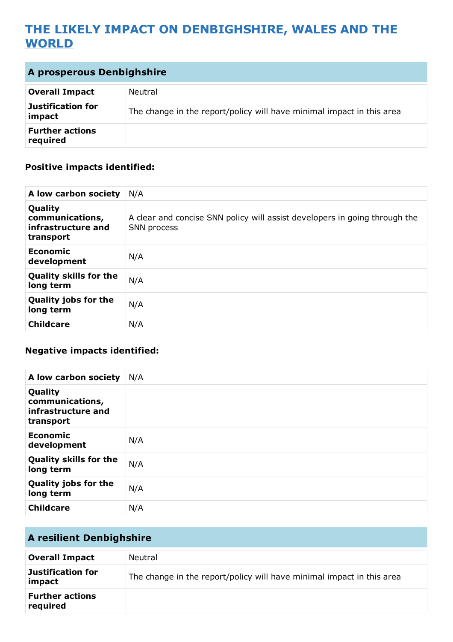# **THE LIKELY IMPACT ON DENBIGHSHIRE, WALES AND THE WORLD**

| A prosperous Denbighshire          |                                                                       |
|------------------------------------|-----------------------------------------------------------------------|
| <b>Overall Impact</b>              | Neutral                                                               |
| Justification for<br>impact        | The change in the report/policy will have minimal impact in this area |
| <b>Further actions</b><br>required |                                                                       |

#### **Positive impacts identified:**

| A low carbon society                                          | N/A                                                                                       |
|---------------------------------------------------------------|-------------------------------------------------------------------------------------------|
| Quality<br>communications,<br>infrastructure and<br>transport | A clear and concise SNN policy will assist developers in going through the<br>SNN process |
| Economic<br>development                                       | N/A                                                                                       |
| <b>Quality skills for the</b><br>long term                    | N/A                                                                                       |
| <b>Quality jobs for the</b><br>long term                      | N/A                                                                                       |
| <b>Childcare</b>                                              | N/A                                                                                       |

#### **Negative impacts identified:**

| A low carbon society                                          | N/A |
|---------------------------------------------------------------|-----|
| Quality<br>communications,<br>infrastructure and<br>transport |     |
| <b>Economic</b><br>development                                | N/A |
| <b>Quality skills for the</b><br>long term                    | N/A |
| <b>Quality jobs for the</b><br>long term                      | N/A |
| <b>Childcare</b>                                              | N/A |

| <b>A resilient Denbighshire</b>    |                                                                       |
|------------------------------------|-----------------------------------------------------------------------|
| <b>Overall Impact</b>              | Neutral                                                               |
| Justification for<br>impact        | The change in the report/policy will have minimal impact in this area |
| <b>Further actions</b><br>required |                                                                       |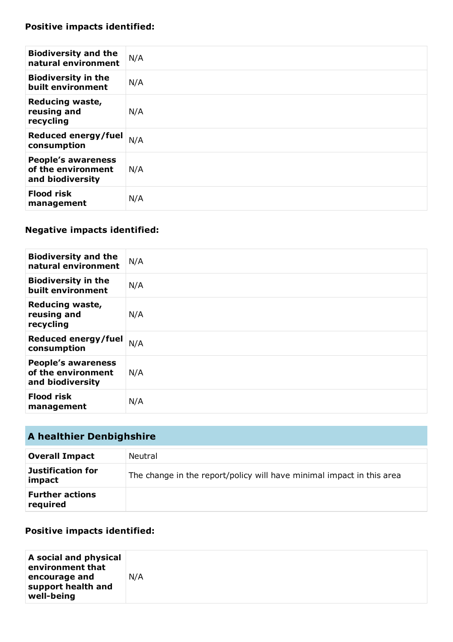## **Positive impacts identified:**

| <b>Biodiversity and the</b><br>natural environment                  | N/A |
|---------------------------------------------------------------------|-----|
| <b>Biodiversity in the</b><br>built environment                     | N/A |
| <b>Reducing waste,</b><br>reusing and<br>recycling                  | N/A |
| Reduced energy/fuel<br>consumption                                  | N/A |
| <b>People's awareness</b><br>of the environment<br>and biodiversity | N/A |
| <b>Flood risk</b><br>management                                     | N/A |

## **Negative impacts identified:**

| <b>Biodiversity and the</b><br>natural environment                  | N/A |
|---------------------------------------------------------------------|-----|
| <b>Biodiversity in the</b><br>built environment                     | N/A |
| <b>Reducing waste,</b><br>reusing and<br>recycling                  | N/A |
| Reduced energy/fuel<br>consumption                                  | N/A |
| <b>People's awareness</b><br>of the environment<br>and biodiversity | N/A |
| <b>Flood risk</b><br>management                                     | N/A |

| A healthier Denbighshire           |                                                                       |
|------------------------------------|-----------------------------------------------------------------------|
| <b>Overall Impact</b>              | Neutral                                                               |
| <b>Justification for</b><br>impact | The change in the report/policy will have minimal impact in this area |
| <b>Further actions</b><br>required |                                                                       |

### **Positive impacts identified:**

| A social and physical<br>environment that |     |
|-------------------------------------------|-----|
| encourage and                             | N/A |
| support health and                        |     |
| well-being                                |     |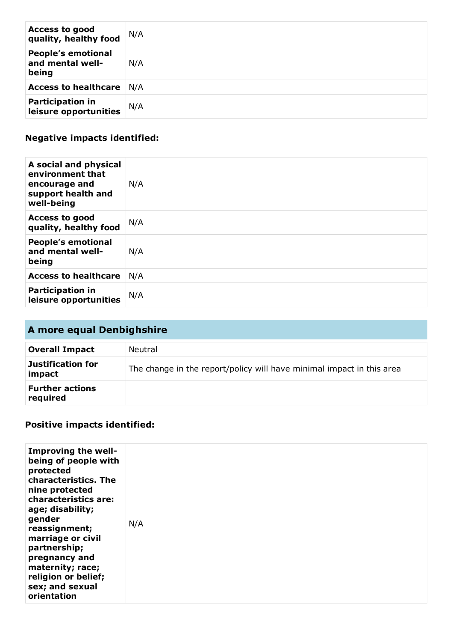| <b>Access to good</b><br>quality, healthy food         | N/A |
|--------------------------------------------------------|-----|
| <b>People's emotional</b><br>and mental well-<br>being | N/A |
| <b>Access to healthcare</b>                            | N/A |
| <b>Participation in</b><br>leisure opportunities       | N/A |

## **Negative impacts identified:**

| A social and physical<br>environment that<br>encourage and<br>support health and<br>well-being | N/A |
|------------------------------------------------------------------------------------------------|-----|
| <b>Access to good</b><br>quality, healthy food                                                 | N/A |
| <b>People's emotional</b><br>and mental well-<br>being                                         | N/A |
| <b>Access to healthcare</b>                                                                    | N/A |
| <b>Participation in</b><br>leisure opportunities                                               | N/A |

| A more equal Denbighshire          |                                                                       |
|------------------------------------|-----------------------------------------------------------------------|
| <b>Overall Impact</b>              | Neutral                                                               |
| Justification for<br>impact        | The change in the report/policy will have minimal impact in this area |
| <b>Further actions</b><br>required |                                                                       |

## **Positive impacts identified:**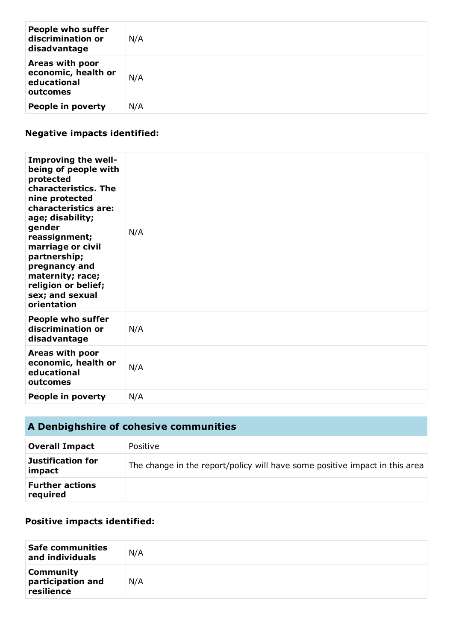| <b>People who suffer</b><br>discrimination or<br>disadvantage     | N/A |
|-------------------------------------------------------------------|-----|
| Areas with poor<br>economic, health or<br>educational<br>outcomes | N/A |
| People in poverty                                                 | N/A |

## **Negative impacts identified:**

| Improving the well-<br>being of people with<br>protected<br>characteristics. The<br>nine protected<br>characteristics are:<br>age; disability;<br>gender<br>reassignment;<br>marriage or civil<br>partnership;<br>pregnancy and<br>maternity; race;<br>religion or belief;<br>sex; and sexual<br>orientation | N/A |
|--------------------------------------------------------------------------------------------------------------------------------------------------------------------------------------------------------------------------------------------------------------------------------------------------------------|-----|
| <b>People who suffer</b><br>discrimination or<br>disadvantage                                                                                                                                                                                                                                                | N/A |
| Areas with poor<br>economic, health or<br>educational<br>outcomes                                                                                                                                                                                                                                            | N/A |
| People in poverty                                                                                                                                                                                                                                                                                            | N/A |

# **A Denbighshire of cohesive communities**

| <b>Overall Impact</b>              | Positive                                                                    |
|------------------------------------|-----------------------------------------------------------------------------|
| Justification for<br>impact        | The change in the report/policy will have some positive impact in this area |
| <b>Further actions</b><br>required |                                                                             |

#### **Positive impacts identified:**

| <b>Safe communities</b><br>and individuals          | N/A |
|-----------------------------------------------------|-----|
| <b>Community</b><br>participation and<br>resilience | N/A |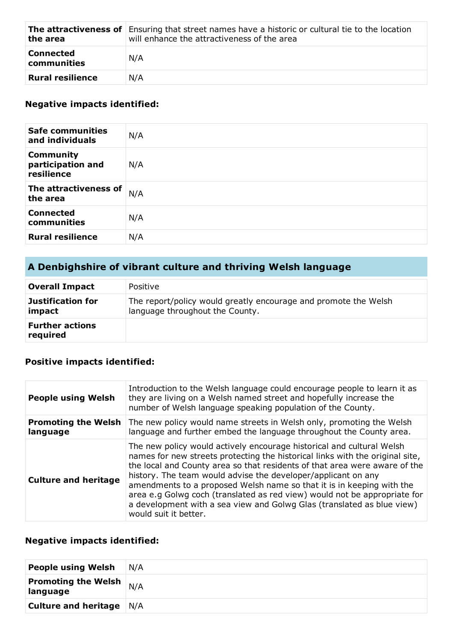| the area                        | <b>The attractiveness of</b> Ensuring that street names have a historic or cultural tie to the location<br>will enhance the attractiveness of the area |
|---------------------------------|--------------------------------------------------------------------------------------------------------------------------------------------------------|
| <b>Connected</b><br>communities | N/A                                                                                                                                                    |
| Rural resilience                | N/A                                                                                                                                                    |

#### **Negative impacts identified:**

| <b>Safe communities</b><br>and individuals          | N/A |
|-----------------------------------------------------|-----|
| <b>Community</b><br>participation and<br>resilience | N/A |
| The attractiveness of<br>the area                   | N/A |
| <b>Connected</b><br>communities                     | N/A |
| <b>Rural resilience</b>                             | N/A |

# **A Denbighshire of vibrant culture and thriving Welsh language**

| <b>Overall Impact</b>              | Positive                                                                                           |
|------------------------------------|----------------------------------------------------------------------------------------------------|
| <b>Justification for</b><br>impact | The report/policy would greatly encourage and promote the Welsh<br>language throughout the County. |
| <b>Further actions</b><br>required |                                                                                                    |

#### **Positive impacts identified:**

| <b>People using Welsh</b>              | Introduction to the Welsh language could encourage people to learn it as<br>they are living on a Welsh named street and hopefully increase the<br>number of Welsh language speaking population of the County.                                                                                                                                                                                                                                                                                                                                                  |
|----------------------------------------|----------------------------------------------------------------------------------------------------------------------------------------------------------------------------------------------------------------------------------------------------------------------------------------------------------------------------------------------------------------------------------------------------------------------------------------------------------------------------------------------------------------------------------------------------------------|
| <b>Promoting the Welsh</b><br>language | The new policy would name streets in Welsh only, promoting the Welsh<br>language and further embed the language throughout the County area.                                                                                                                                                                                                                                                                                                                                                                                                                    |
| <b>Culture and heritage</b>            | The new policy would actively encourage historical and cultural Welsh<br>names for new streets protecting the historical links with the original site,<br>the local and County area so that residents of that area were aware of the<br>history. The team would advise the developer/applicant on any<br>amendments to a proposed Welsh name so that it is in keeping with the<br>area e.g Golwg coch (translated as red view) would not be appropriate for<br>a development with a sea view and Golwg Glas (translated as blue view)<br>would suit it better. |

# **Negative impacts identified:**

| <b>People using Welsh</b>              | N/A |
|----------------------------------------|-----|
| <b>Promoting the Welsh</b><br>language | N/A |
| <b>Culture and heritage</b> N/A        |     |